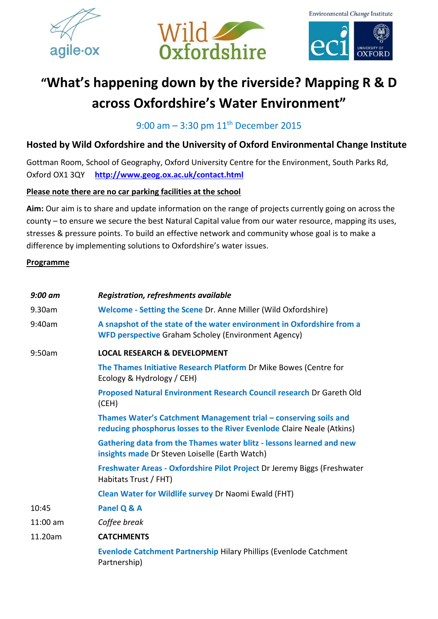







## **"What's happening down by the riverside? Mapping R & D across Oxfordshire's Water Environment"**

9:00 am - 3:30 pm 11<sup>th</sup> December 2015

## **Hosted by Wild Oxfordshire and the University of Oxford Environmental Change Institute**

Gottman Room, School of Geography, Oxford University Centre for the Environment, South Parks Rd, Oxford OX1 3QY **<http://www.geog.ox.ac.uk/contact.html>**

## **Please note there are no car parking facilities at the school**

**Aim:** Our aim is to share and update information on the range of projects currently going on across the county – to ensure we secure the best Natural Capital value from our water resource, mapping its uses, stresses & pressure points. To build an effective network and community whose goal is to make a difference by implementing solutions to Oxfordshire's water issues.

## **Programme**

| $9:00$ am  | Registration, refreshments available                                                                                                       |
|------------|--------------------------------------------------------------------------------------------------------------------------------------------|
| 9.30am     | Welcome - Setting the Scene Dr. Anne Miller (Wild Oxfordshire)                                                                             |
| 9:40am     | A snapshot of the state of the water environment in Oxfordshire from a<br><b>WFD perspective Graham Scholey (Environment Agency)</b>       |
| 9:50am     | <b>LOCAL RESEARCH &amp; DEVELOPMENT</b>                                                                                                    |
|            | The Thames Initiative Research Platform Dr Mike Bowes (Centre for<br>Ecology & Hydrology / CEH)                                            |
|            | Proposed Natural Environment Research Council research Dr Gareth Old<br>(CEH)                                                              |
|            | Thames Water's Catchment Management trial - conserving soils and<br>reducing phosphorus losses to the River Evenlode Claire Neale (Atkins) |
|            | Gathering data from the Thames water blitz - lessons learned and new<br>insights made Dr Steven Loiselle (Earth Watch)                     |
|            | Freshwater Areas - Oxfordshire Pilot Project Dr Jeremy Biggs (Freshwater<br>Habitats Trust / FHT)                                          |
|            | Clean Water for Wildlife survey Dr Naomi Ewald (FHT)                                                                                       |
| 10:45      | Panel Q & A                                                                                                                                |
| $11:00$ am | Coffee break                                                                                                                               |
| 11.20am    | <b>CATCHMENTS</b>                                                                                                                          |
|            | Evenlode Catchment Partnership Hilary Phillips (Evenlode Catchment<br>Partnership)                                                         |